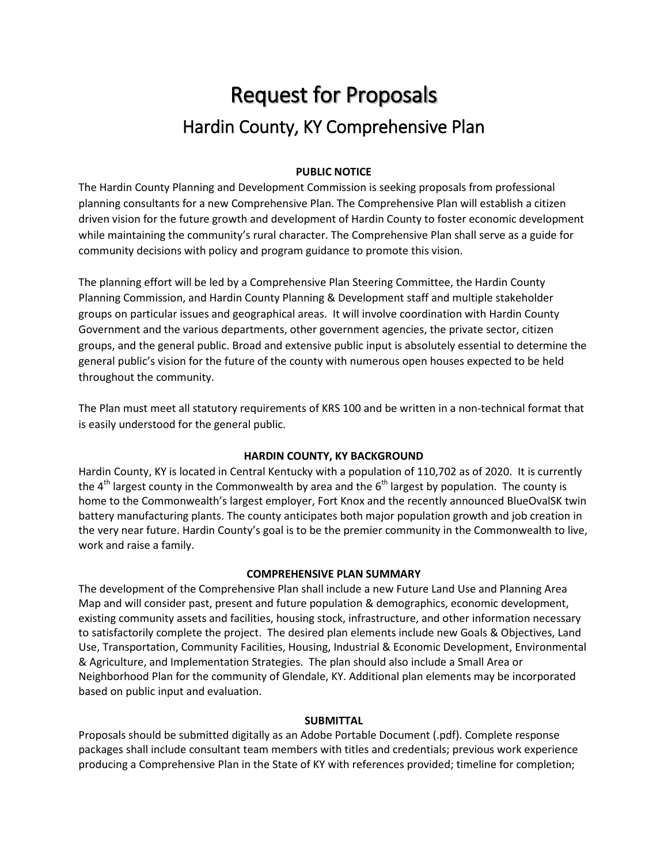# Request for Proposals Hardin County, KY Comprehensive Plan

## **PUBLIC NOTICE**

The Hardin County Planning and Development Commission is seeking proposals from professional planning consultants for a new Comprehensive Plan. The Comprehensive Plan will establish a citizen driven vision for the future growth and development of Hardin County to foster economic development while maintaining the community's rural character. The Comprehensive Plan shall serve as a guide for community decisions with policy and program guidance to promote this vision.

The planning effort will be led by a Comprehensive Plan Steering Committee, the Hardin County Planning Commission, and Hardin County Planning & Development staff and multiple stakeholder groups on particular issues and geographical areas. It will involve coordination with Hardin County Government and the various departments, other government agencies, the private sector, citizen groups, and the general public. Broad and extensive public input is absolutely essential to determine the general public's vision for the future of the county with numerous open houses expected to be held throughout the community.

The Plan must meet all statutory requirements of KRS 100 and be written in a non-technical format that is easily understood for the general public.

## **HARDIN COUNTY, KY BACKGROUND**

Hardin County, KY is located in Central Kentucky with a population of 110,702 as of 2020. It is currently the  $4<sup>th</sup>$  largest county in the Commonwealth by area and the  $6<sup>th</sup>$  largest by population. The county is home to the Commonwealth's largest employer, Fort Knox and the recently announced BlueOvalSK twin battery manufacturing plants. The county anticipates both major population growth and job creation in the very near future. Hardin County's goal is to be the premier community in the Commonwealth to live, work and raise a family.

#### **COMPREHENSIVE PLAN SUMMARY**

The development of the Comprehensive Plan shall include a new Future Land Use and Planning Area Map and will consider past, present and future population & demographics, economic development, existing community assets and facilities, housing stock, infrastructure, and other information necessary to satisfactorily complete the project. The desired plan elements include new Goals & Objectives, Land Use, Transportation, Community Facilities, Housing, Industrial & Economic Development, Environmental & Agriculture, and Implementation Strategies. The plan should also include a Small Area or Neighborhood Plan for the community of Glendale, KY. Additional plan elements may be incorporated based on public input and evaluation.

#### **SUBMITTAL**

Proposals should be submitted digitally as an Adobe Portable Document (.pdf). Complete response packages shall include consultant team members with titles and credentials; previous work experience producing a Comprehensive Plan in the State of KY with references provided; timeline for completion;